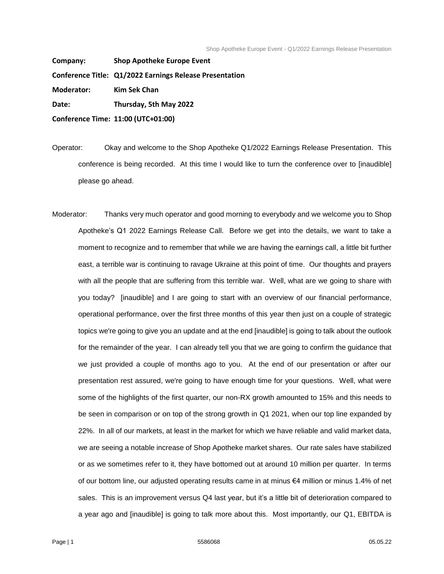**Company: Shop Apotheke Europe Event Conference Title: Q1/2022 Earnings Release Presentation Moderator: Kim Sek Chan Date: Thursday, 5th May 2022**

**Conference Time: 11:00 (UTC+01:00)**

Operator: Okay and welcome to the Shop Apotheke Q1/2022 Earnings Release Presentation. This conference is being recorded. At this time I would like to turn the conference over to [inaudible] please go ahead.

Moderator: Thanks very much operator and good morning to everybody and we welcome you to Shop Apotheke's Q1 2022 Earnings Release Call. Before we get into the details, we want to take a moment to recognize and to remember that while we are having the earnings call, a little bit further east, a terrible war is continuing to ravage Ukraine at this point of time. Our thoughts and prayers with all the people that are suffering from this terrible war. Well, what are we going to share with you today? [inaudible] and I are going to start with an overview of our financial performance, operational performance, over the first three months of this year then just on a couple of strategic topics we're going to give you an update and at the end [inaudible] is going to talk about the outlook for the remainder of the year. I can already tell you that we are going to confirm the guidance that we just provided a couple of months ago to you. At the end of our presentation or after our presentation rest assured, we're going to have enough time for your questions. Well, what were some of the highlights of the first quarter, our non-RX growth amounted to 15% and this needs to be seen in comparison or on top of the strong growth in Q1 2021, when our top line expanded by 22%. In all of our markets, at least in the market for which we have reliable and valid market data, we are seeing a notable increase of Shop Apotheke market shares. Our rate sales have stabilized or as we sometimes refer to it, they have bottomed out at around 10 million per quarter. In terms of our bottom line, our adjusted operating results came in at minus €4 million or minus 1.4% of net sales. This is an improvement versus Q4 last year, but it's a little bit of deterioration compared to a year ago and [inaudible] is going to talk more about this. Most importantly, our Q1, EBITDA is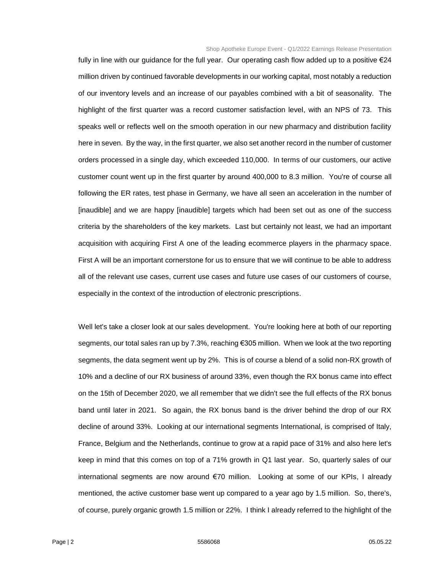fully in line with our guidance for the full year. Our operating cash flow added up to a positive €24 million driven by continued favorable developments in our working capital, most notably a reduction of our inventory levels and an increase of our payables combined with a bit of seasonality. The highlight of the first quarter was a record customer satisfaction level, with an NPS of 73. This speaks well or reflects well on the smooth operation in our new pharmacy and distribution facility here in seven. By the way, in the first quarter, we also set another record in the number of customer orders processed in a single day, which exceeded 110,000. In terms of our customers, our active customer count went up in the first quarter by around 400,000 to 8.3 million. You're of course all following the ER rates, test phase in Germany, we have all seen an acceleration in the number of [inaudible] and we are happy [inaudible] targets which had been set out as one of the success criteria by the shareholders of the key markets. Last but certainly not least, we had an important acquisition with acquiring First A one of the leading ecommerce players in the pharmacy space. First A will be an important cornerstone for us to ensure that we will continue to be able to address all of the relevant use cases, current use cases and future use cases of our customers of course, especially in the context of the introduction of electronic prescriptions.

Well let's take a closer look at our sales development. You're looking here at both of our reporting segments, our total sales ran up by 7.3%, reaching €305 million. When we look at the two reporting segments, the data segment went up by 2%. This is of course a blend of a solid non-RX growth of 10% and a decline of our RX business of around 33%, even though the RX bonus came into effect on the 15th of December 2020, we all remember that we didn't see the full effects of the RX bonus band until later in 2021. So again, the RX bonus band is the driver behind the drop of our RX decline of around 33%. Looking at our international segments International, is comprised of Italy, France, Belgium and the Netherlands, continue to grow at a rapid pace of 31% and also here let's keep in mind that this comes on top of a 71% growth in Q1 last year. So, quarterly sales of our international segments are now around €70 million. Looking at some of our KPIs, I already mentioned, the active customer base went up compared to a year ago by 1.5 million. So, there's, of course, purely organic growth 1.5 million or 22%. I think I already referred to the highlight of the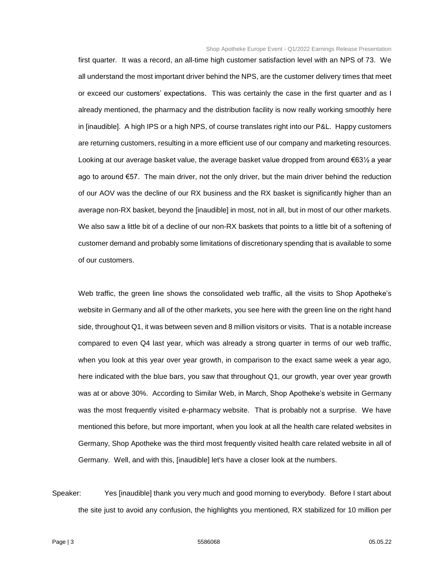first quarter. It was a record, an all-time high customer satisfaction level with an NPS of 73. We all understand the most important driver behind the NPS, are the customer delivery times that meet or exceed our customers' expectations. This was certainly the case in the first quarter and as I already mentioned, the pharmacy and the distribution facility is now really working smoothly here in [inaudible]. A high IPS or a high NPS, of course translates right into our P&L. Happy customers are returning customers, resulting in a more efficient use of our company and marketing resources. Looking at our average basket value, the average basket value dropped from around  $€63½$  a year ago to around €57. The main driver, not the only driver, but the main driver behind the reduction of our AOV was the decline of our RX business and the RX basket is significantly higher than an average non-RX basket, beyond the [inaudible] in most, not in all, but in most of our other markets. We also saw a little bit of a decline of our non-RX baskets that points to a little bit of a softening of customer demand and probably some limitations of discretionary spending that is available to some of our customers.

Web traffic, the green line shows the consolidated web traffic, all the visits to Shop Apotheke's website in Germany and all of the other markets, you see here with the green line on the right hand side, throughout Q1, it was between seven and 8 million visitors or visits. That is a notable increase compared to even Q4 last year, which was already a strong quarter in terms of our web traffic, when you look at this year over year growth, in comparison to the exact same week a year ago, here indicated with the blue bars, you saw that throughout Q1, our growth, year over year growth was at or above 30%. According to Similar Web, in March, Shop Apotheke's website in Germany was the most frequently visited e-pharmacy website. That is probably not a surprise. We have mentioned this before, but more important, when you look at all the health care related websites in Germany, Shop Apotheke was the third most frequently visited health care related website in all of Germany. Well, and with this, [inaudible] let's have a closer look at the numbers.

Speaker: Yes [inaudible] thank you very much and good morning to everybody. Before I start about the site just to avoid any confusion, the highlights you mentioned, RX stabilized for 10 million per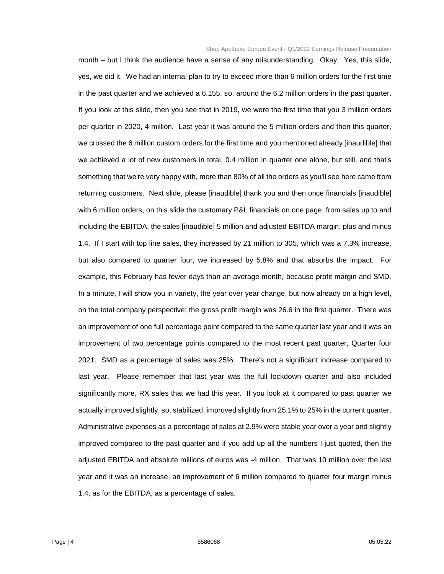month – but I think the audience have a sense of any misunderstanding. Okay. Yes, this slide, yes, we did it. We had an internal plan to try to exceed more than 6 million orders for the first time in the past quarter and we achieved a 6.155, so, around the 6.2 million orders in the past quarter. If you look at this slide, then you see that in 2019, we were the first time that you 3 million orders per quarter in 2020, 4 million. Last year it was around the 5 million orders and then this quarter, we crossed the 6 million custom orders for the first time and you mentioned already [inaudible] that we achieved a lot of new customers in total, 0.4 million in quarter one alone, but still, and that's something that we're very happy with, more than 80% of all the orders as you'll see here came from returning customers. Next slide, please [inaudible] thank you and then once financials [inaudible] with 6 million orders, on this slide the customary P&L financials on one page, from sales up to and including the EBITDA, the sales [inaudible] 5 million and adjusted EBITDA margin, plus and minus 1.4. If I start with top line sales, they increased by 21 million to 305, which was a 7.3% increase, but also compared to quarter four, we increased by 5.8% and that absorbs the impact. For example, this February has fewer days than an average month, because profit margin and SMD. In a minute, I will show you in variety, the year over year change, but now already on a high level, on the total company perspective; the gross profit margin was 26.6 in the first quarter. There was an improvement of one full percentage point compared to the same quarter last year and it was an improvement of two percentage points compared to the most recent past quarter, Quarter four 2021. SMD as a percentage of sales was 25%. There's not a significant increase compared to last year. Please remember that last year was the full lockdown quarter and also included significantly more, RX sales that we had this year. If you look at it compared to past quarter we actually improved slightly, so, stabilized, improved slightly from 25.1% to 25% in the current quarter. Administrative expenses as a percentage of sales at 2.9% were stable year over a year and slightly improved compared to the past quarter and if you add up all the numbers I just quoted, then the adjusted EBITDA and absolute millions of euros was -4 million. That was 10 million over the last year and it was an increase, an improvement of 6 million compared to quarter four margin minus 1.4, as for the EBITDA, as a percentage of sales.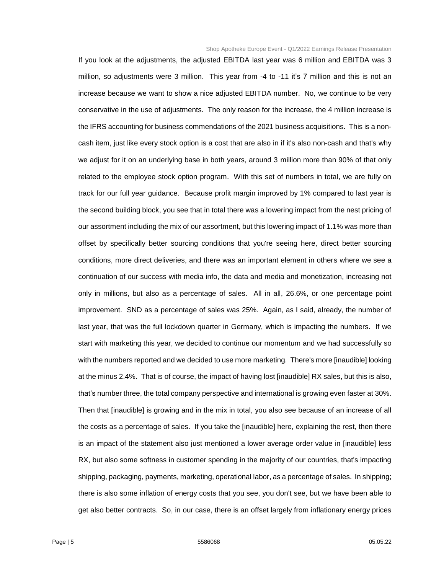If you look at the adjustments, the adjusted EBITDA last year was 6 million and EBITDA was 3 million, so adjustments were 3 million. This year from -4 to -11 it's 7 million and this is not an increase because we want to show a nice adjusted EBITDA number. No, we continue to be very conservative in the use of adjustments. The only reason for the increase, the 4 million increase is the IFRS accounting for business commendations of the 2021 business acquisitions. This is a noncash item, just like every stock option is a cost that are also in if it's also non-cash and that's why we adjust for it on an underlying base in both years, around 3 million more than 90% of that only related to the employee stock option program. With this set of numbers in total, we are fully on track for our full year guidance. Because profit margin improved by 1% compared to last year is the second building block, you see that in total there was a lowering impact from the nest pricing of our assortment including the mix of our assortment, but this lowering impact of 1.1% was more than offset by specifically better sourcing conditions that you're seeing here, direct better sourcing conditions, more direct deliveries, and there was an important element in others where we see a continuation of our success with media info, the data and media and monetization, increasing not only in millions, but also as a percentage of sales. All in all, 26.6%, or one percentage point improvement. SND as a percentage of sales was 25%. Again, as I said, already, the number of last year, that was the full lockdown quarter in Germany, which is impacting the numbers. If we start with marketing this year, we decided to continue our momentum and we had successfully so with the numbers reported and we decided to use more marketing. There's more [inaudible] looking at the minus 2.4%. That is of course, the impact of having lost [inaudible] RX sales, but this is also, that's number three, the total company perspective and international is growing even faster at 30%. Then that [inaudible] is growing and in the mix in total, you also see because of an increase of all the costs as a percentage of sales. If you take the [inaudible] here, explaining the rest, then there is an impact of the statement also just mentioned a lower average order value in [inaudible] less RX, but also some softness in customer spending in the majority of our countries, that's impacting shipping, packaging, payments, marketing, operational labor, as a percentage of sales. In shipping; there is also some inflation of energy costs that you see, you don't see, but we have been able to get also better contracts. So, in our case, there is an offset largely from inflationary energy prices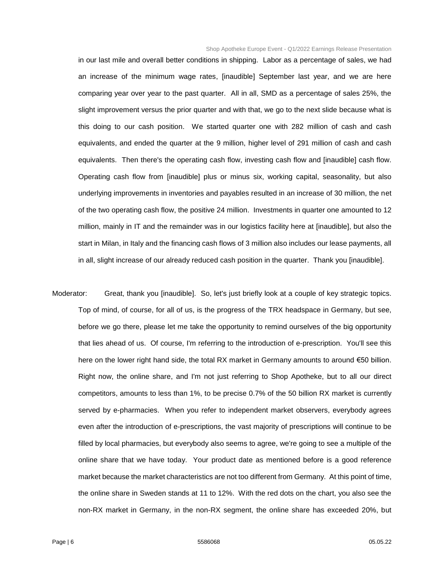in our last mile and overall better conditions in shipping. Labor as a percentage of sales, we had an increase of the minimum wage rates, [inaudible] September last year, and we are here comparing year over year to the past quarter. All in all, SMD as a percentage of sales 25%, the slight improvement versus the prior quarter and with that, we go to the next slide because what is this doing to our cash position. We started quarter one with 282 million of cash and cash equivalents, and ended the quarter at the 9 million, higher level of 291 million of cash and cash equivalents. Then there's the operating cash flow, investing cash flow and [inaudible] cash flow. Operating cash flow from [inaudible] plus or minus six, working capital, seasonality, but also underlying improvements in inventories and payables resulted in an increase of 30 million, the net of the two operating cash flow, the positive 24 million. Investments in quarter one amounted to 12 million, mainly in IT and the remainder was in our logistics facility here at [inaudible], but also the start in Milan, in Italy and the financing cash flows of 3 million also includes our lease payments, all in all, slight increase of our already reduced cash position in the quarter. Thank you [inaudible].

Moderator: Great, thank you [inaudible]. So, let's just briefly look at a couple of key strategic topics. Top of mind, of course, for all of us, is the progress of the TRX headspace in Germany, but see, before we go there, please let me take the opportunity to remind ourselves of the big opportunity that lies ahead of us. Of course, I'm referring to the introduction of e-prescription. You'll see this here on the lower right hand side, the total RX market in Germany amounts to around €50 billion. Right now, the online share, and I'm not just referring to Shop Apotheke, but to all our direct competitors, amounts to less than 1%, to be precise 0.7% of the 50 billion RX market is currently served by e-pharmacies. When you refer to independent market observers, everybody agrees even after the introduction of e-prescriptions, the vast majority of prescriptions will continue to be filled by local pharmacies, but everybody also seems to agree, we're going to see a multiple of the online share that we have today. Your product date as mentioned before is a good reference market because the market characteristics are not too different from Germany. At this point of time, the online share in Sweden stands at 11 to 12%. With the red dots on the chart, you also see the non-RX market in Germany, in the non-RX segment, the online share has exceeded 20%, but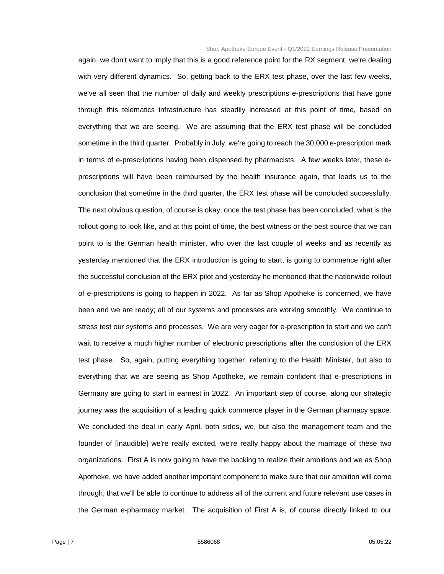again, we don't want to imply that this is a good reference point for the RX segment; we're dealing with very different dynamics. So, getting back to the ERX test phase, over the last few weeks, we've all seen that the number of daily and weekly prescriptions e-prescriptions that have gone through this telematics infrastructure has steadily increased at this point of time, based on everything that we are seeing. We are assuming that the ERX test phase will be concluded sometime in the third quarter. Probably in July, we're going to reach the 30,000 e-prescription mark in terms of e-prescriptions having been dispensed by pharmacists. A few weeks later, these eprescriptions will have been reimbursed by the health insurance again, that leads us to the conclusion that sometime in the third quarter, the ERX test phase will be concluded successfully. The next obvious question, of course is okay, once the test phase has been concluded, what is the rollout going to look like, and at this point of time, the best witness or the best source that we can point to is the German health minister, who over the last couple of weeks and as recently as yesterday mentioned that the ERX introduction is going to start, is going to commence right after the successful conclusion of the ERX pilot and yesterday he mentioned that the nationwide rollout of e-prescriptions is going to happen in 2022. As far as Shop Apotheke is concerned, we have been and we are ready; all of our systems and processes are working smoothly. We continue to stress test our systems and processes. We are very eager for e-prescription to start and we can't wait to receive a much higher number of electronic prescriptions after the conclusion of the ERX test phase. So, again, putting everything together, referring to the Health Minister, but also to everything that we are seeing as Shop Apotheke, we remain confident that e-prescriptions in Germany are going to start in earnest in 2022. An important step of course, along our strategic journey was the acquisition of a leading quick commerce player in the German pharmacy space. We concluded the deal in early April, both sides, we, but also the management team and the founder of [inaudible] we're really excited, we're really happy about the marriage of these two organizations. First A is now going to have the backing to realize their ambitions and we as Shop Apotheke, we have added another important component to make sure that our ambition will come through, that we'll be able to continue to address all of the current and future relevant use cases in the German e-pharmacy market. The acquisition of First A is, of course directly linked to our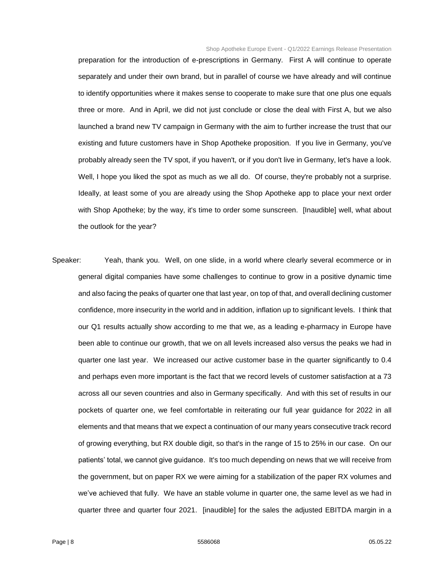preparation for the introduction of e-prescriptions in Germany. First A will continue to operate separately and under their own brand, but in parallel of course we have already and will continue to identify opportunities where it makes sense to cooperate to make sure that one plus one equals three or more. And in April, we did not just conclude or close the deal with First A, but we also launched a brand new TV campaign in Germany with the aim to further increase the trust that our existing and future customers have in Shop Apotheke proposition. If you live in Germany, you've probably already seen the TV spot, if you haven't, or if you don't live in Germany, let's have a look. Well, I hope you liked the spot as much as we all do. Of course, they're probably not a surprise. Ideally, at least some of you are already using the Shop Apotheke app to place your next order with Shop Apotheke; by the way, it's time to order some sunscreen. [Inaudible] well, what about the outlook for the year?

Speaker: Yeah, thank you. Well, on one slide, in a world where clearly several ecommerce or in general digital companies have some challenges to continue to grow in a positive dynamic time and also facing the peaks of quarter one that last year, on top of that, and overall declining customer confidence, more insecurity in the world and in addition, inflation up to significant levels. I think that our Q1 results actually show according to me that we, as a leading e-pharmacy in Europe have been able to continue our growth, that we on all levels increased also versus the peaks we had in quarter one last year. We increased our active customer base in the quarter significantly to 0.4 and perhaps even more important is the fact that we record levels of customer satisfaction at a 73 across all our seven countries and also in Germany specifically. And with this set of results in our pockets of quarter one, we feel comfortable in reiterating our full year guidance for 2022 in all elements and that means that we expect a continuation of our many years consecutive track record of growing everything, but RX double digit, so that's in the range of 15 to 25% in our case. On our patients' total, we cannot give guidance. It's too much depending on news that we will receive from the government, but on paper RX we were aiming for a stabilization of the paper RX volumes and we've achieved that fully. We have an stable volume in quarter one, the same level as we had in quarter three and quarter four 2021. [inaudible] for the sales the adjusted EBITDA margin in a

Page | 8 5586068 05.05.22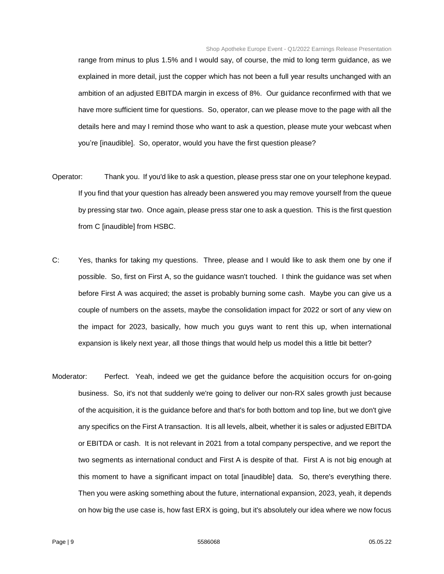range from minus to plus 1.5% and I would say, of course, the mid to long term guidance, as we explained in more detail, just the copper which has not been a full year results unchanged with an ambition of an adjusted EBITDA margin in excess of 8%. Our guidance reconfirmed with that we have more sufficient time for questions. So, operator, can we please move to the page with all the details here and may I remind those who want to ask a question, please mute your webcast when you're [inaudible]. So, operator, would you have the first question please?

- Operator: Thank you. If you'd like to ask a question, please press star one on your telephone keypad. If you find that your question has already been answered you may remove yourself from the queue by pressing star two. Once again, please press star one to ask a question. This is the first question from C [inaudible] from HSBC.
- C: Yes, thanks for taking my questions. Three, please and I would like to ask them one by one if possible. So, first on First A, so the guidance wasn't touched. I think the guidance was set when before First A was acquired; the asset is probably burning some cash. Maybe you can give us a couple of numbers on the assets, maybe the consolidation impact for 2022 or sort of any view on the impact for 2023, basically, how much you guys want to rent this up, when international expansion is likely next year, all those things that would help us model this a little bit better?
- Moderator: Perfect. Yeah, indeed we get the guidance before the acquisition occurs for on-going business. So, it's not that suddenly we're going to deliver our non-RX sales growth just because of the acquisition, it is the guidance before and that's for both bottom and top line, but we don't give any specifics on the First A transaction. It is all levels, albeit, whether it is sales or adjusted EBITDA or EBITDA or cash. It is not relevant in 2021 from a total company perspective, and we report the two segments as international conduct and First A is despite of that. First A is not big enough at this moment to have a significant impact on total [inaudible] data. So, there's everything there. Then you were asking something about the future, international expansion, 2023, yeah, it depends on how big the use case is, how fast ERX is going, but it's absolutely our idea where we now focus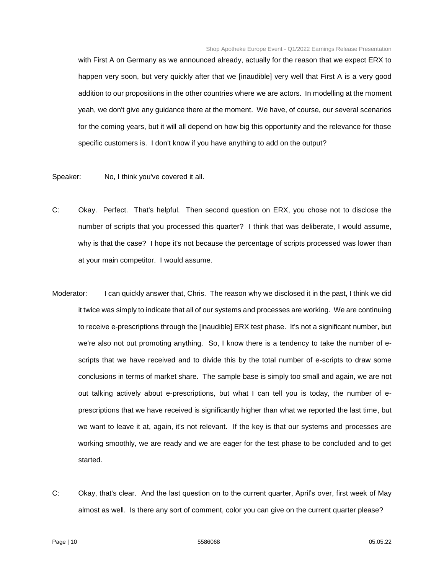with First A on Germany as we announced already, actually for the reason that we expect ERX to happen very soon, but very quickly after that we [inaudible] very well that First A is a very good addition to our propositions in the other countries where we are actors. In modelling at the moment yeah, we don't give any guidance there at the moment. We have, of course, our several scenarios for the coming years, but it will all depend on how big this opportunity and the relevance for those specific customers is. I don't know if you have anything to add on the output?

Speaker: No, I think you've covered it all.

- C: Okay. Perfect. That's helpful. Then second question on ERX, you chose not to disclose the number of scripts that you processed this quarter? I think that was deliberate, I would assume, why is that the case? I hope it's not because the percentage of scripts processed was lower than at your main competitor. I would assume.
- Moderator: I can quickly answer that, Chris. The reason why we disclosed it in the past, I think we did it twice was simply to indicate that all of our systems and processes are working. We are continuing to receive e-prescriptions through the [inaudible] ERX test phase. It's not a significant number, but we're also not out promoting anything. So, I know there is a tendency to take the number of escripts that we have received and to divide this by the total number of e-scripts to draw some conclusions in terms of market share. The sample base is simply too small and again, we are not out talking actively about e-prescriptions, but what I can tell you is today, the number of eprescriptions that we have received is significantly higher than what we reported the last time, but we want to leave it at, again, it's not relevant. If the key is that our systems and processes are working smoothly, we are ready and we are eager for the test phase to be concluded and to get started.
- C: Okay, that's clear. And the last question on to the current quarter, April's over, first week of May almost as well. Is there any sort of comment, color you can give on the current quarter please?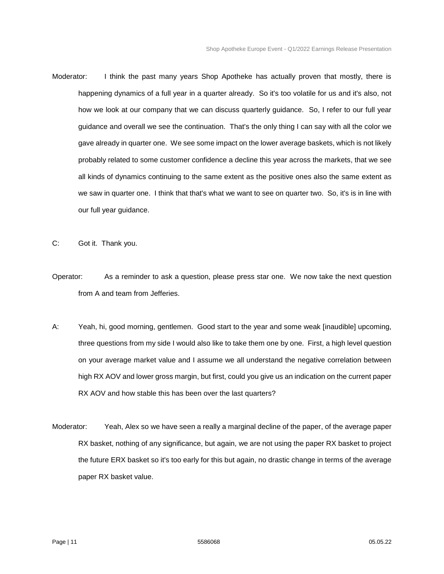- Moderator: I think the past many years Shop Apotheke has actually proven that mostly, there is happening dynamics of a full year in a quarter already. So it's too volatile for us and it's also, not how we look at our company that we can discuss quarterly guidance. So, I refer to our full year guidance and overall we see the continuation. That's the only thing I can say with all the color we gave already in quarter one. We see some impact on the lower average baskets, which is not likely probably related to some customer confidence a decline this year across the markets, that we see all kinds of dynamics continuing to the same extent as the positive ones also the same extent as we saw in quarter one. I think that that's what we want to see on quarter two. So, it's is in line with our full year guidance.
- C: Got it. Thank you.
- Operator: As a reminder to ask a question, please press star one. We now take the next question from A and team from Jefferies.
- A: Yeah, hi, good morning, gentlemen. Good start to the year and some weak [inaudible] upcoming, three questions from my side I would also like to take them one by one. First, a high level question on your average market value and I assume we all understand the negative correlation between high RX AOV and lower gross margin, but first, could you give us an indication on the current paper RX AOV and how stable this has been over the last quarters?
- Moderator: Yeah, Alex so we have seen a really a marginal decline of the paper, of the average paper RX basket, nothing of any significance, but again, we are not using the paper RX basket to project the future ERX basket so it's too early for this but again, no drastic change in terms of the average paper RX basket value.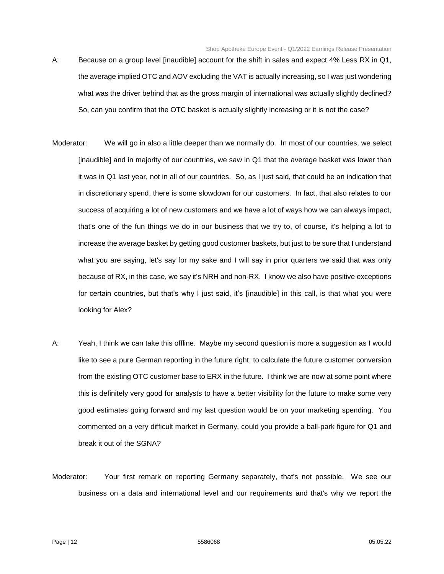- A: Because on a group level [inaudible] account for the shift in sales and expect 4% Less RX in Q1, the average implied OTC and AOV excluding the VAT is actually increasing, so I was just wondering what was the driver behind that as the gross margin of international was actually slightly declined? So, can you confirm that the OTC basket is actually slightly increasing or it is not the case?
- Moderator: We will go in also a little deeper than we normally do. In most of our countries, we select [inaudible] and in majority of our countries, we saw in Q1 that the average basket was lower than it was in Q1 last year, not in all of our countries. So, as I just said, that could be an indication that in discretionary spend, there is some slowdown for our customers. In fact, that also relates to our success of acquiring a lot of new customers and we have a lot of ways how we can always impact, that's one of the fun things we do in our business that we try to, of course, it's helping a lot to increase the average basket by getting good customer baskets, but just to be sure that I understand what you are saying, let's say for my sake and I will say in prior quarters we said that was only because of RX, in this case, we say it's NRH and non-RX. I know we also have positive exceptions for certain countries, but that's why I just said, it's [inaudible] in this call, is that what you were looking for Alex?
- A: Yeah, I think we can take this offline. Maybe my second question is more a suggestion as I would like to see a pure German reporting in the future right, to calculate the future customer conversion from the existing OTC customer base to ERX in the future. I think we are now at some point where this is definitely very good for analysts to have a better visibility for the future to make some very good estimates going forward and my last question would be on your marketing spending. You commented on a very difficult market in Germany, could you provide a ball-park figure for Q1 and break it out of the SGNA?
- Moderator: Your first remark on reporting Germany separately, that's not possible. We see our business on a data and international level and our requirements and that's why we report the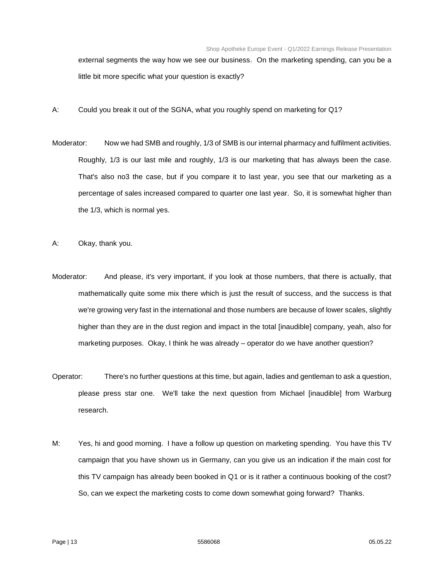external segments the way how we see our business. On the marketing spending, can you be a little bit more specific what your question is exactly?

- A: Could you break it out of the SGNA, what you roughly spend on marketing for Q1?
- Moderator: Now we had SMB and roughly, 1/3 of SMB is our internal pharmacy and fulfilment activities. Roughly, 1/3 is our last mile and roughly, 1/3 is our marketing that has always been the case. That's also no3 the case, but if you compare it to last year, you see that our marketing as a percentage of sales increased compared to quarter one last year. So, it is somewhat higher than the 1/3, which is normal yes.
- A: Okay, thank you.
- Moderator: And please, it's very important, if you look at those numbers, that there is actually, that mathematically quite some mix there which is just the result of success, and the success is that we're growing very fast in the international and those numbers are because of lower scales, slightly higher than they are in the dust region and impact in the total [inaudible] company, yeah, also for marketing purposes. Okay, I think he was already – operator do we have another question?
- Operator: There's no further questions at this time, but again, ladies and gentleman to ask a question, please press star one. We'll take the next question from Michael [inaudible] from Warburg research.
- M: Yes, hi and good morning. I have a follow up question on marketing spending. You have this TV campaign that you have shown us in Germany, can you give us an indication if the main cost for this TV campaign has already been booked in Q1 or is it rather a continuous booking of the cost? So, can we expect the marketing costs to come down somewhat going forward? Thanks.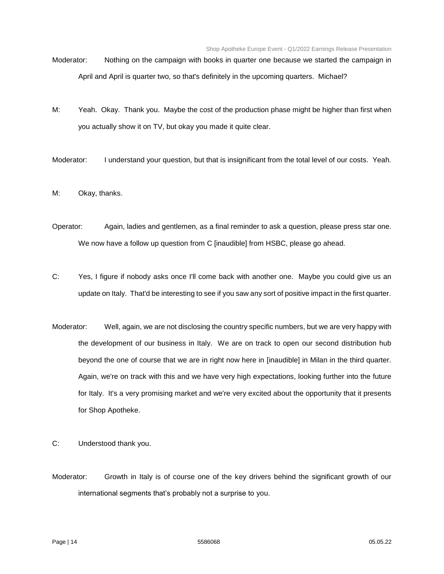- Moderator: Nothing on the campaign with books in quarter one because we started the campaign in April and April is quarter two, so that's definitely in the upcoming quarters. Michael?
- M: Yeah. Okay. Thank you. Maybe the cost of the production phase might be higher than first when you actually show it on TV, but okay you made it quite clear.
- Moderator: I understand your question, but that is insignificant from the total level of our costs. Yeah.
- M: Okay, thanks.
- Operator: Again, ladies and gentlemen, as a final reminder to ask a question, please press star one. We now have a follow up question from C [inaudible] from HSBC, please go ahead.
- C: Yes, I figure if nobody asks once I'll come back with another one. Maybe you could give us an update on Italy. That'd be interesting to see if you saw any sort of positive impact in the first quarter.
- Moderator: Well, again, we are not disclosing the country specific numbers, but we are very happy with the development of our business in Italy. We are on track to open our second distribution hub beyond the one of course that we are in right now here in [inaudible] in Milan in the third quarter. Again, we're on track with this and we have very high expectations, looking further into the future for Italy. It's a very promising market and we're very excited about the opportunity that it presents for Shop Apotheke.
- C: Understood thank you.
- Moderator: Growth in Italy is of course one of the key drivers behind the significant growth of our international segments that's probably not a surprise to you.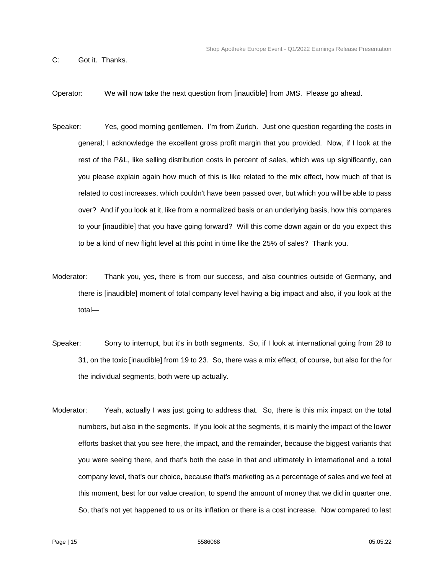C: Got it. Thanks.

Operator: We will now take the next question from [inaudible] from JMS. Please go ahead.

- Speaker: Yes, good morning gentlemen. I'm from Zurich. Just one question regarding the costs in general; I acknowledge the excellent gross profit margin that you provided. Now, if I look at the rest of the P&L, like selling distribution costs in percent of sales, which was up significantly, can you please explain again how much of this is like related to the mix effect, how much of that is related to cost increases, which couldn't have been passed over, but which you will be able to pass over? And if you look at it, like from a normalized basis or an underlying basis, how this compares to your [inaudible] that you have going forward? Will this come down again or do you expect this to be a kind of new flight level at this point in time like the 25% of sales? Thank you.
- Moderator: Thank you, yes, there is from our success, and also countries outside of Germany, and there is [inaudible] moment of total company level having a big impact and also, if you look at the total—
- Speaker: Sorry to interrupt, but it's in both segments. So, if I look at international going from 28 to 31, on the toxic [inaudible] from 19 to 23. So, there was a mix effect, of course, but also for the for the individual segments, both were up actually.
- Moderator: Yeah, actually I was just going to address that. So, there is this mix impact on the total numbers, but also in the segments. If you look at the segments, it is mainly the impact of the lower efforts basket that you see here, the impact, and the remainder, because the biggest variants that you were seeing there, and that's both the case in that and ultimately in international and a total company level, that's our choice, because that's marketing as a percentage of sales and we feel at this moment, best for our value creation, to spend the amount of money that we did in quarter one. So, that's not yet happened to us or its inflation or there is a cost increase. Now compared to last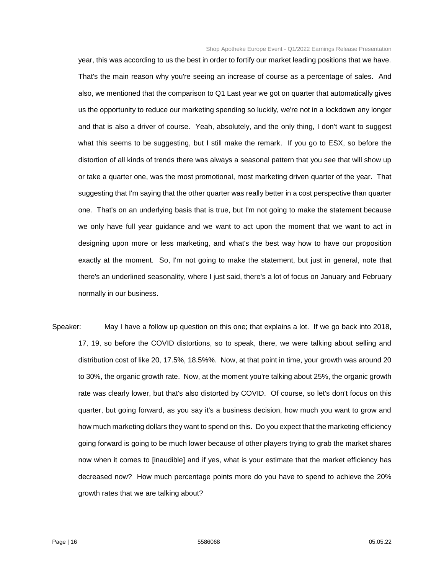year, this was according to us the best in order to fortify our market leading positions that we have. That's the main reason why you're seeing an increase of course as a percentage of sales. And also, we mentioned that the comparison to Q1 Last year we got on quarter that automatically gives us the opportunity to reduce our marketing spending so luckily, we're not in a lockdown any longer and that is also a driver of course. Yeah, absolutely, and the only thing, I don't want to suggest what this seems to be suggesting, but I still make the remark. If you go to ESX, so before the distortion of all kinds of trends there was always a seasonal pattern that you see that will show up or take a quarter one, was the most promotional, most marketing driven quarter of the year. That suggesting that I'm saying that the other quarter was really better in a cost perspective than quarter one. That's on an underlying basis that is true, but I'm not going to make the statement because we only have full year guidance and we want to act upon the moment that we want to act in designing upon more or less marketing, and what's the best way how to have our proposition exactly at the moment. So, I'm not going to make the statement, but just in general, note that there's an underlined seasonality, where I just said, there's a lot of focus on January and February normally in our business.

Speaker: May I have a follow up question on this one; that explains a lot. If we go back into 2018, 17, 19, so before the COVID distortions, so to speak, there, we were talking about selling and distribution cost of like 20, 17.5%, 18.5%%. Now, at that point in time, your growth was around 20 to 30%, the organic growth rate. Now, at the moment you're talking about 25%, the organic growth rate was clearly lower, but that's also distorted by COVID. Of course, so let's don't focus on this quarter, but going forward, as you say it's a business decision, how much you want to grow and how much marketing dollars they want to spend on this. Do you expect that the marketing efficiency going forward is going to be much lower because of other players trying to grab the market shares now when it comes to [inaudible] and if yes, what is your estimate that the market efficiency has decreased now? How much percentage points more do you have to spend to achieve the 20% growth rates that we are talking about?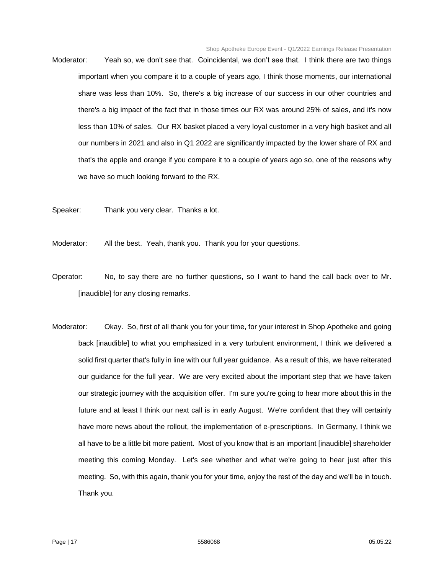- Moderator: Yeah so, we don't see that. Coincidental, we don't see that. I think there are two things important when you compare it to a couple of years ago, I think those moments, our international share was less than 10%. So, there's a big increase of our success in our other countries and there's a big impact of the fact that in those times our RX was around 25% of sales, and it's now less than 10% of sales. Our RX basket placed a very loyal customer in a very high basket and all our numbers in 2021 and also in Q1 2022 are significantly impacted by the lower share of RX and that's the apple and orange if you compare it to a couple of years ago so, one of the reasons why we have so much looking forward to the RX.
- Speaker: Thank you very clear. Thanks a lot.
- Moderator: All the best. Yeah, thank you. Thank you for your questions.
- Operator: No, to say there are no further questions, so I want to hand the call back over to Mr. [inaudible] for any closing remarks.
- Moderator: Okay. So, first of all thank you for your time, for your interest in Shop Apotheke and going back [inaudible] to what you emphasized in a very turbulent environment, I think we delivered a solid first quarter that's fully in line with our full year guidance. As a result of this, we have reiterated our guidance for the full year. We are very excited about the important step that we have taken our strategic journey with the acquisition offer. I'm sure you're going to hear more about this in the future and at least I think our next call is in early August. We're confident that they will certainly have more news about the rollout, the implementation of e-prescriptions. In Germany, I think we all have to be a little bit more patient. Most of you know that is an important [inaudible] shareholder meeting this coming Monday. Let's see whether and what we're going to hear just after this meeting. So, with this again, thank you for your time, enjoy the rest of the day and we'll be in touch. Thank you.